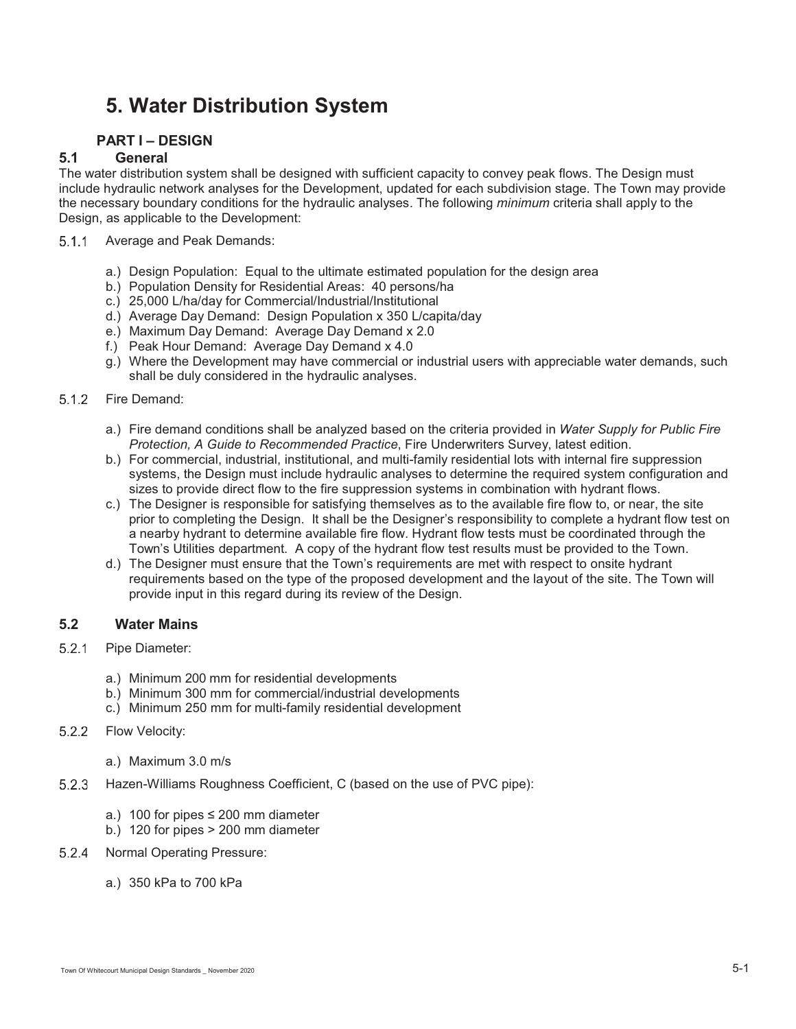# **5. Water Distribution System**

# **PART I – DESIGN**

# **5.1 General**

The water distribution system shall be designed with sufficient capacity to convey peak flows. The Design must include hydraulic network analyses for the Development, updated for each subdivision stage. The Town may provide the necessary boundary conditions for the hydraulic analyses. The following *minimum* criteria shall apply to the Design, as applicable to the Development:

- 5.1.1 Average and Peak Demands:
	- a.) Design Population: Equal to the ultimate estimated population for the design area
	- b.) Population Density for Residential Areas: 40 persons/ha
	- c.) 25,000 L/ha/day for Commercial/Industrial/Institutional
	- d.) Average Day Demand: Design Population x 350 L/capita/day
	- e.) Maximum Day Demand: Average Day Demand x 2.0
	- f.) Peak Hour Demand: Average Day Demand x 4.0
	- g.) Where the Development may have commercial or industrial users with appreciable water demands, such shall be duly considered in the hydraulic analyses.

### 5.1.2 Fire Demand:

- a.) Fire demand conditions shall be analyzed based on the criteria provided in *Water Supply for Public Fire Protection, A Guide to Recommended Practice*, Fire Underwriters Survey, latest edition.
- b.) For commercial, industrial, institutional, and multi-family residential lots with internal fire suppression systems, the Design must include hydraulic analyses to determine the required system configuration and sizes to provide direct flow to the fire suppression systems in combination with hydrant flows.
- c.) The Designer is responsible for satisfying themselves as to the available fire flow to, or near, the site prior to completing the Design. It shall be the Designer's responsibility to complete a hydrant flow test on a nearby hydrant to determine available fire flow. Hydrant flow tests must be coordinated through the Town's Utilities department. A copy of the hydrant flow test results must be provided to the Town.
- d.) The Designer must ensure that the Town's requirements are met with respect to onsite hydrant requirements based on the type of the proposed development and the layout of the site. The Town will provide input in this regard during its review of the Design.

# **5.2 Water Mains**

- 5.2.1 Pipe Diameter:
	- a.) Minimum 200 mm for residential developments
	- b.) Minimum 300 mm for commercial/industrial developments
	- c.) Minimum 250 mm for multi-family residential development
- 5.2.2 Flow Velocity:
	- a.) Maximum 3.0 m/s
- 5.2.3 Hazen-Williams Roughness Coefficient, C (based on the use of PVC pipe):
	- a.) 100 for pipes  $\leq$  200 mm diameter
	- b.) 120 for pipes > 200 mm diameter
- 5.2.4 Normal Operating Pressure:
	- a.) 350 kPa to 700 kPa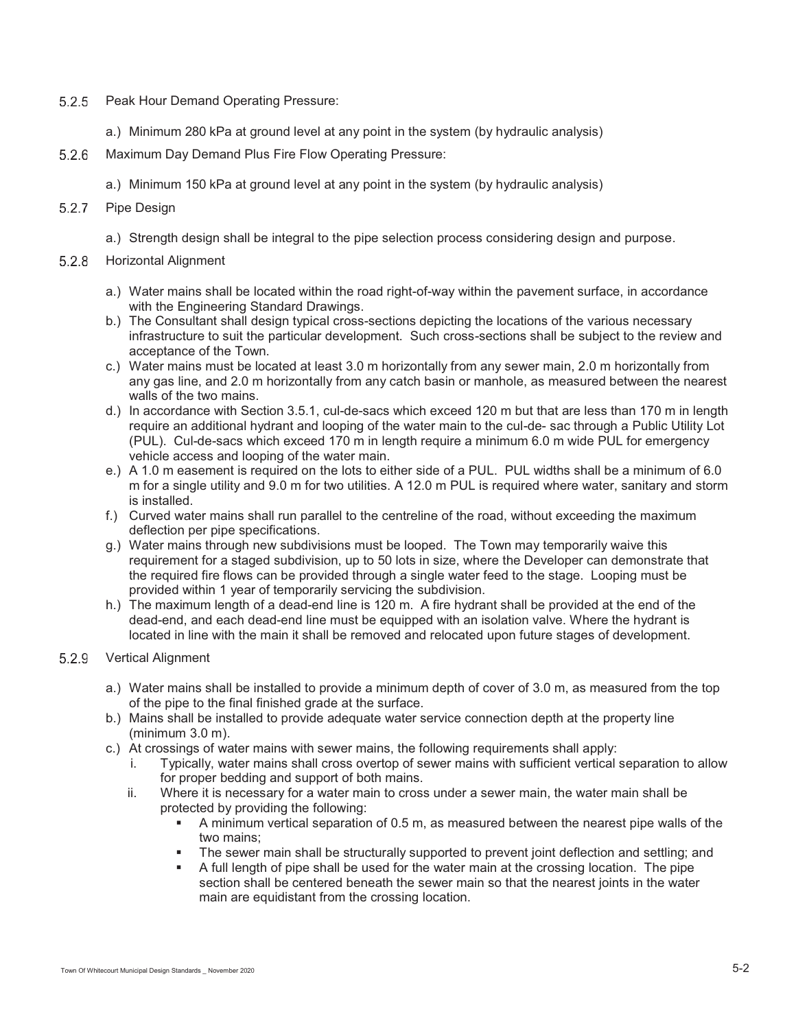- 5.2.5 Peak Hour Demand Operating Pressure:
	- a.) Minimum 280 kPa at ground level at any point in the system (by hydraulic analysis)
- 5.2.6 Maximum Day Demand Plus Fire Flow Operating Pressure:
	- a.) Minimum 150 kPa at ground level at any point in the system (by hydraulic analysis)

# 5.2.7 Pipe Design

a.) Strength design shall be integral to the pipe selection process considering design and purpose.

### 5.2.8 Horizontal Alignment

- a.) Water mains shall be located within the road right-of-way within the pavement surface, in accordance with the Engineering Standard Drawings.
- b.) The Consultant shall design typical cross-sections depicting the locations of the various necessary infrastructure to suit the particular development. Such cross-sections shall be subject to the review and acceptance of the Town.
- c.) Water mains must be located at least 3.0 m horizontally from any sewer main, 2.0 m horizontally from any gas line, and 2.0 m horizontally from any catch basin or manhole, as measured between the nearest walls of the two mains.
- d.) In accordance with Section 3.5.1, cul-de-sacs which exceed 120 m but that are less than 170 m in length require an additional hydrant and looping of the water main to the cul-de- sac through a Public Utility Lot (PUL). Cul-de-sacs which exceed 170 m in length require a minimum 6.0 m wide PUL for emergency vehicle access and looping of the water main.
- e.) A 1.0 m easement is required on the lots to either side of a PUL. PUL widths shall be a minimum of 6.0 m for a single utility and 9.0 m for two utilities. A 12.0 m PUL is required where water, sanitary and storm is installed.
- f.) Curved water mains shall run parallel to the centreline of the road, without exceeding the maximum deflection per pipe specifications.
- g.) Water mains through new subdivisions must be looped. The Town may temporarily waive this requirement for a staged subdivision, up to 50 lots in size, where the Developer can demonstrate that the required fire flows can be provided through a single water feed to the stage. Looping must be provided within 1 year of temporarily servicing the subdivision.
- h.) The maximum length of a dead-end line is 120 m. A fire hydrant shall be provided at the end of the dead-end, and each dead-end line must be equipped with an isolation valve. Where the hydrant is located in line with the main it shall be removed and relocated upon future stages of development.

# 5.2.9 Vertical Alignment

- a.) Water mains shall be installed to provide a minimum depth of cover of 3.0 m, as measured from the top of the pipe to the final finished grade at the surface.
- b.) Mains shall be installed to provide adequate water service connection depth at the property line (minimum 3.0 m).
- c.) At crossings of water mains with sewer mains, the following requirements shall apply:
	- i. Typically, water mains shall cross overtop of sewer mains with sufficient vertical separation to allow for proper bedding and support of both mains.
	- ii. Where it is necessary for a water main to cross under a sewer main, the water main shall be protected by providing the following:
		- - A minimum vertical separation of 0.5 m, as measured between the nearest pipe walls of the two mains;
		- -The sewer main shall be structurally supported to prevent joint deflection and settling; and
		- - A full length of pipe shall be used for the water main at the crossing location. The pipe section shall be centered beneath the sewer main so that the nearest joints in the water main are equidistant from the crossing location.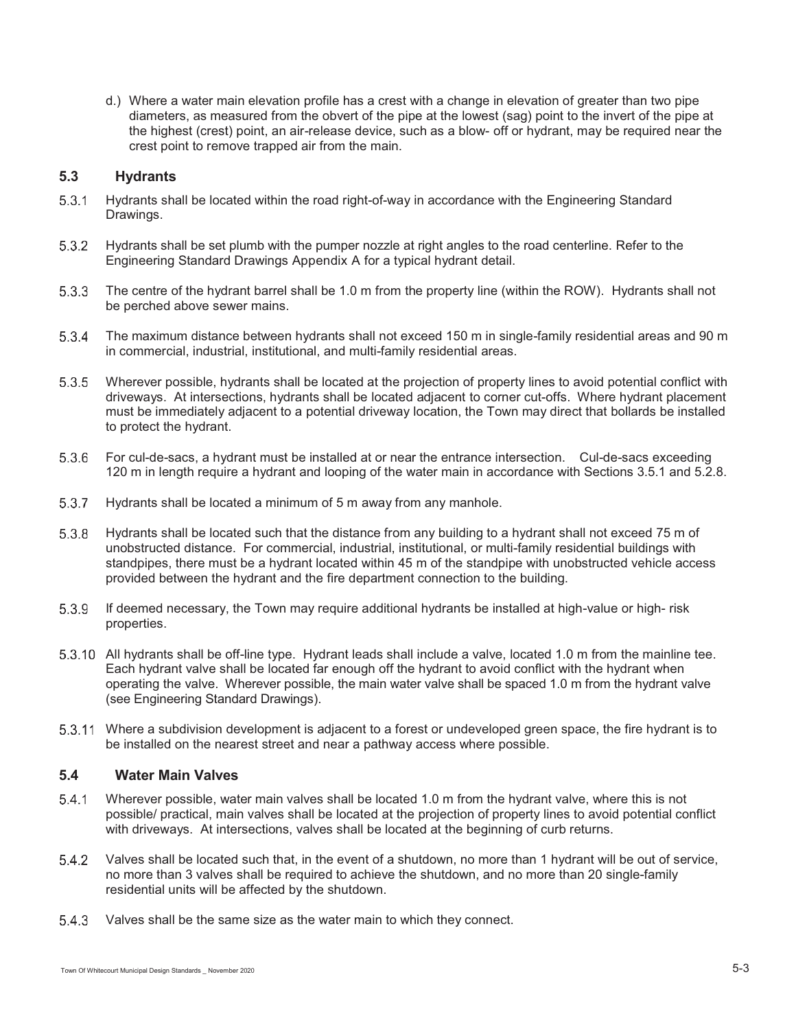d.) Where a water main elevation profile has a crest with a change in elevation of greater than two pipe diameters, as measured from the obvert of the pipe at the lowest (sag) point to the invert of the pipe at the highest (crest) point, an air-release device, such as a blow- off or hydrant, may be required near the crest point to remove trapped air from the main.

### **5.3 Hydrants**

- 5.3.1 Hydrants shall be located within the road right-of-way in accordance with the Engineering Standard Drawings.
- 5.3.2 Hydrants shall be set plumb with the pumper nozzle at right angles to the road centerline. Refer to the Engineering Standard Drawings Appendix A for a typical hydrant detail.
- The centre of the hydrant barrel shall be 1.0 m from the property line (within the ROW). Hydrants shall not be perched above sewer mains.
- The maximum distance between hydrants shall not exceed 150 m in single-family residential areas and 90 m in commercial, industrial, institutional, and multi-family residential areas.
- Wherever possible, hydrants shall be located at the projection of property lines to avoid potential conflict with driveways. At intersections, hydrants shall be located adjacent to corner cut-offs. Where hydrant placement must be immediately adjacent to a potential driveway location, the Town may direct that bollards be installed to protect the hydrant.
- For cul-de-sacs, a hydrant must be installed at or near the entrance intersection. Cul-de-sacs exceeding 120 m in length require a hydrant and looping of the water main in accordance with Sections 3.5.1 and 5.2.8.
- 5.3.7 Hydrants shall be located a minimum of 5 m away from any manhole.
- 5.3.8 Hydrants shall be located such that the distance from any building to a hydrant shall not exceed 75 m of unobstructed distance. For commercial, industrial, institutional, or multi-family residential buildings with standpipes, there must be a hydrant located within 45 m of the standpipe with unobstructed vehicle access provided between the hydrant and the fire department connection to the building.
- If deemed necessary, the Town may require additional hydrants be installed at high-value or high- risk properties.
- 5.3.10 All hydrants shall be off-line type. Hydrant leads shall include a valve, located 1.0 m from the mainline tee. Each hydrant valve shall be located far enough off the hydrant to avoid conflict with the hydrant when operating the valve. Wherever possible, the main water valve shall be spaced 1.0 m from the hydrant valve (see Engineering Standard Drawings).
- Where a subdivision development is adjacent to a forest or undeveloped green space, the fire hydrant is to be installed on the nearest street and near a pathway access where possible.

# **5.4 Water Main Valves**

- Wherever possible, water main valves shall be located 1.0 m from the hydrant valve, where this is not possible/ practical, main valves shall be located at the projection of property lines to avoid potential conflict with driveways. At intersections, valves shall be located at the beginning of curb returns.
- 5.4.2 Valves shall be located such that, in the event of a shutdown, no more than 1 hydrant will be out of service, no more than 3 valves shall be required to achieve the shutdown, and no more than 20 single-family residential units will be affected by the shutdown.
- 5.4.3 Valves shall be the same size as the water main to which they connect.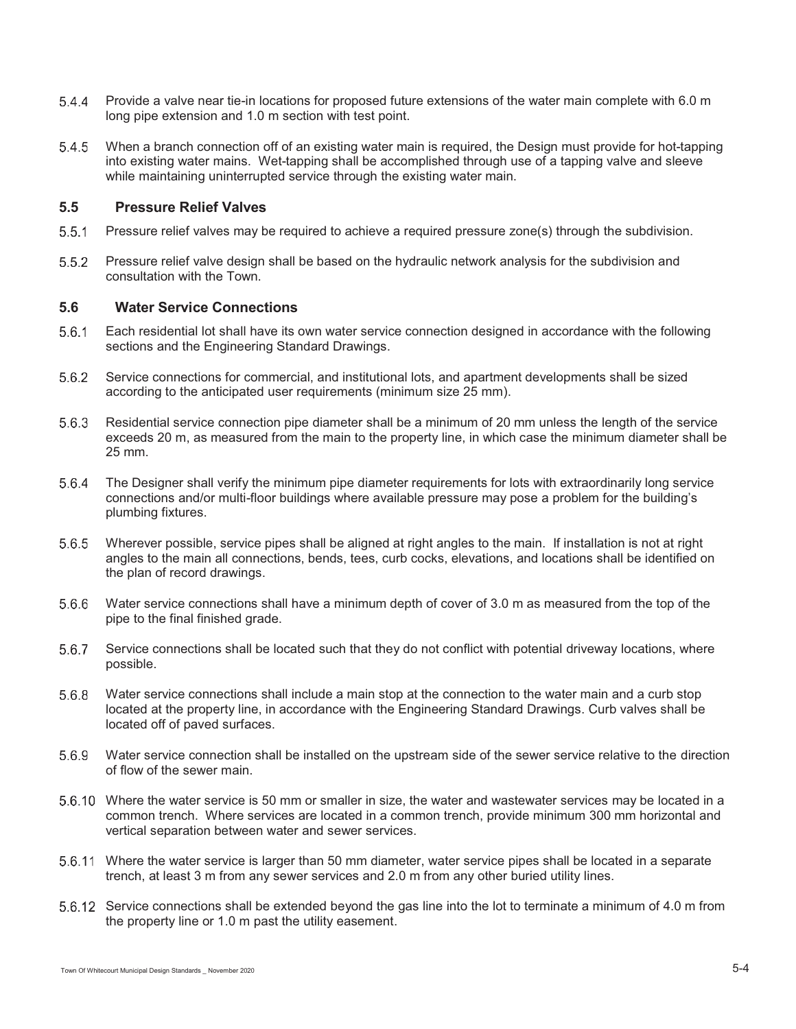- 5.4.4 Provide a valve near tie-in locations for proposed future extensions of the water main complete with 6.0 m long pipe extension and 1.0 m section with test point.
- When a branch connection off of an existing water main is required, the Design must provide for hot-tapping into existing water mains. Wet-tapping shall be accomplished through use of a tapping valve and sleeve while maintaining uninterrupted service through the existing water main.

# **5.5 Pressure Relief Valves**

- Pressure relief valves may be required to achieve a required pressure zone(s) through the subdivision.
- Pressure relief valve design shall be based on the hydraulic network analysis for the subdivision and consultation with the Town.

# **5.6 Water Service Connections**

- Each residential lot shall have its own water service connection designed in accordance with the following sections and the Engineering Standard Drawings.
- 5.6.2 Service connections for commercial, and institutional lots, and apartment developments shall be sized according to the anticipated user requirements (minimum size 25 mm).
- 5.6.3 Residential service connection pipe diameter shall be a minimum of 20 mm unless the length of the service exceeds 20 m, as measured from the main to the property line, in which case the minimum diameter shall be 25 mm.
- The Designer shall verify the minimum pipe diameter requirements for lots with extraordinarily long service connections and/or multi-floor buildings where available pressure may pose a problem for the building's plumbing fixtures.
- Wherever possible, service pipes shall be aligned at right angles to the main. If installation is not at right angles to the main all connections, bends, tees, curb cocks, elevations, and locations shall be identified on the plan of record drawings.
- Water service connections shall have a minimum depth of cover of 3.0 m as measured from the top of the pipe to the final finished grade.
- 5.6.7 Service connections shall be located such that they do not conflict with potential driveway locations, where possible.
- Water service connections shall include a main stop at the connection to the water main and a curb stop located at the property line, in accordance with the Engineering Standard Drawings. Curb valves shall be located off of paved surfaces.
- Water service connection shall be installed on the upstream side of the sewer service relative to the direction of flow of the sewer main.
- Where the water service is 50 mm or smaller in size, the water and wastewater services may be located in a common trench. Where services are located in a common trench, provide minimum 300 mm horizontal and vertical separation between water and sewer services.
- Where the water service is larger than 50 mm diameter, water service pipes shall be located in a separate trench, at least 3 m from any sewer services and 2.0 m from any other buried utility lines.
- 5.6.12 Service connections shall be extended beyond the gas line into the lot to terminate a minimum of 4.0 m from the property line or 1.0 m past the utility easement.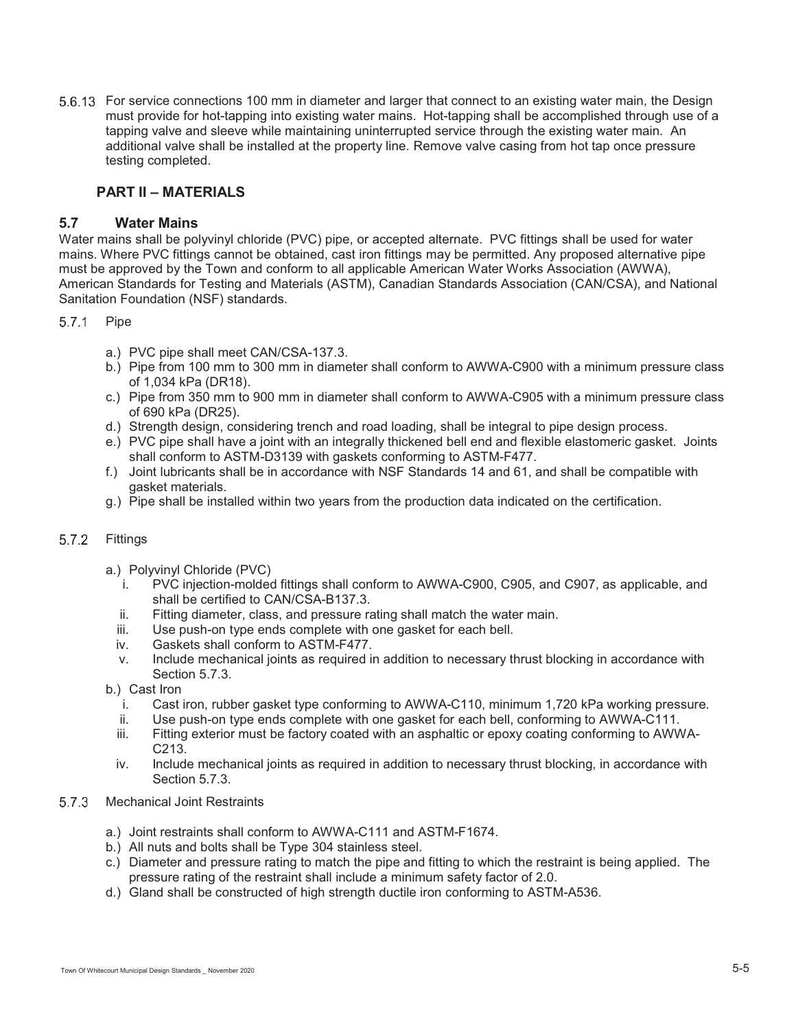For service connections 100 mm in diameter and larger that connect to an existing water main, the Design must provide for hot-tapping into existing water mains. Hot-tapping shall be accomplished through use of a tapping valve and sleeve while maintaining uninterrupted service through the existing water main. An additional valve shall be installed at the property line. Remove valve casing from hot tap once pressure testing completed.

# **PART II – MATERIALS**

# **5.7 Water Mains**

Water mains shall be polyvinyl chloride (PVC) pipe, or accepted alternate. PVC fittings shall be used for water mains. Where PVC fittings cannot be obtained, cast iron fittings may be permitted. Any proposed alternative pipe must be approved by the Town and conform to all applicable American Water Works Association (AWWA), American Standards for Testing and Materials (ASTM), Canadian Standards Association (CAN/CSA), and National Sanitation Foundation (NSF) standards.

### 5.7.1 Pipe

- a.) PVC pipe shall meet CAN/CSA-137.3.
- b.) Pipe from 100 mm to 300 mm in diameter shall conform to AWWA-C900 with a minimum pressure class of 1,034 kPa (DR18).
- c.) Pipe from 350 mm to 900 mm in diameter shall conform to AWWA-C905 with a minimum pressure class of 690 kPa (DR25).
- d.) Strength design, considering trench and road loading, shall be integral to pipe design process.
- e.) PVC pipe shall have a joint with an integrally thickened bell end and flexible elastomeric gasket. Joints shall conform to ASTM-D3139 with gaskets conforming to ASTM-F477.
- f.) Joint lubricants shall be in accordance with NSF Standards 14 and 61, and shall be compatible with gasket materials.
- g.) Pipe shall be installed within two years from the production data indicated on the certification.

# 5.7.2 Fittings

- a.) Polyvinyl Chloride (PVC)
	- i. PVC injection-molded fittings shall conform to AWWA-C900, C905, and C907, as applicable, and shall be certified to CAN/CSA-B137.3.
	- ii. Fitting diameter, class, and pressure rating shall match the water main.
	- iii. Use push-on type ends complete with one gasket for each bell.
	- iv. Gaskets shall conform to ASTM-F477.
	- v. Include mechanical joints as required in addition to necessary thrust blocking in accordance with Section 5.7.3.
- b.) Cast Iron
	- i. Cast iron, rubber gasket type conforming to AWWA-C110, minimum 1,720 kPa working pressure.
	- ii. Use push-on type ends complete with one gasket for each bell, conforming to AWWA-C111.
	- iii. Fitting exterior must be factory coated with an asphaltic or epoxy coating conforming to AWWA-C213.
- iv. Include mechanical joints as required in addition to necessary thrust blocking, in accordance with Section 5.7.3.
- 5.7.3 Mechanical Joint Restraints
	- a.) Joint restraints shall conform to AWWA-C111 and ASTM-F1674.
	- b.) All nuts and bolts shall be Type 304 stainless steel.
	- c.) Diameter and pressure rating to match the pipe and fitting to which the restraint is being applied. The pressure rating of the restraint shall include a minimum safety factor of 2.0.
	- d.) Gland shall be constructed of high strength ductile iron conforming to ASTM-A536.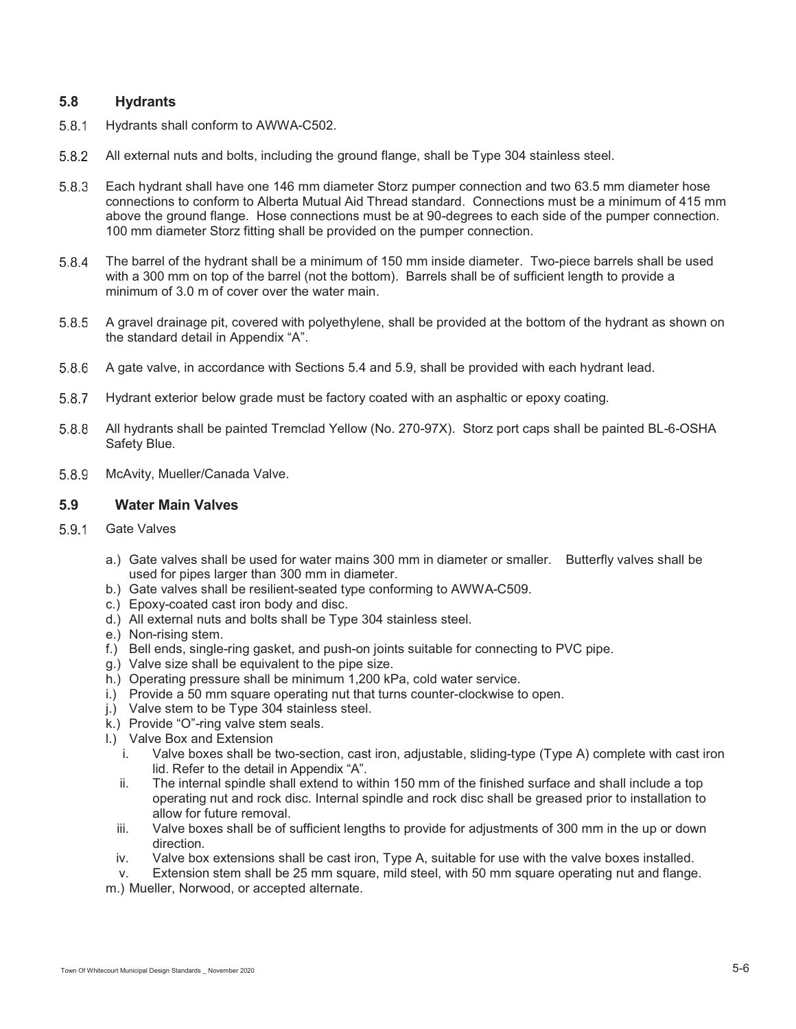# **5.8 Hydrants**

- 5.8.1 Hydrants shall conform to AWWA-C502.
- All external nuts and bolts, including the ground flange, shall be Type 304 stainless steel.
- Each hydrant shall have one 146 mm diameter Storz pumper connection and two 63.5 mm diameter hose connections to conform to Alberta Mutual Aid Thread standard. Connections must be a minimum of 415 mm above the ground flange. Hose connections must be at 90-degrees to each side of the pumper connection. 100 mm diameter Storz fitting shall be provided on the pumper connection.
- The barrel of the hydrant shall be a minimum of 150 mm inside diameter. Two-piece barrels shall be used with a 300 mm on top of the barrel (not the bottom). Barrels shall be of sufficient length to provide a minimum of 3.0 m of cover over the water main.
- 5.8.5 A gravel drainage pit, covered with polyethylene, shall be provided at the bottom of the hydrant as shown on the standard detail in Appendix "A".
- 5.8.6 A gate valve, in accordance with Sections 5.4 and 5.9, shall be provided with each hydrant lead.
- 5.8.7 Hydrant exterior below grade must be factory coated with an asphaltic or epoxy coating.
- 5.8.8 All hydrants shall be painted Tremclad Yellow (No. 270-97X). Storz port caps shall be painted BL-6-OSHA Safety Blue.
- 5.8.9 McAvity, Mueller/Canada Valve.

### **5.9 Water Main Valves**

- 5.9.1 Gate Valves
	- a.) Gate valves shall be used for water mains 300 mm in diameter or smaller. Butterfly valves shall be used for pipes larger than 300 mm in diameter.
	- b.) Gate valves shall be resilient-seated type conforming to AWWA-C509.
	- c.) Epoxy-coated cast iron body and disc.
	- d.) All external nuts and bolts shall be Type 304 stainless steel.
	- e.) Non-rising stem.
	- f.) Bell ends, single-ring gasket, and push-on joints suitable for connecting to PVC pipe.
	- g.) Valve size shall be equivalent to the pipe size.
	- h.) Operating pressure shall be minimum 1,200 kPa, cold water service.
	- i.) Provide a 50 mm square operating nut that turns counter-clockwise to open.
	- j.) Valve stem to be Type 304 stainless steel.
	- k.) Provide "O"-ring valve stem seals.
	- l.) Valve Box and Extension
		- i. Valve boxes shall be two-section, cast iron, adjustable, sliding-type (Type A) complete with cast iron lid. Refer to the detail in Appendix "A".
		- ii. The internal spindle shall extend to within 150 mm of the finished surface and shall include a top operating nut and rock disc. Internal spindle and rock disc shall be greased prior to installation to allow for future removal.
		- iii. Valve boxes shall be of sufficient lengths to provide for adjustments of 300 mm in the up or down direction.
		- iv. Valve box extensions shall be cast iron, Type A, suitable for use with the valve boxes installed.

v. Extension stem shall be 25 mm square, mild steel, with 50 mm square operating nut and flange. m.) Mueller, Norwood, or accepted alternate.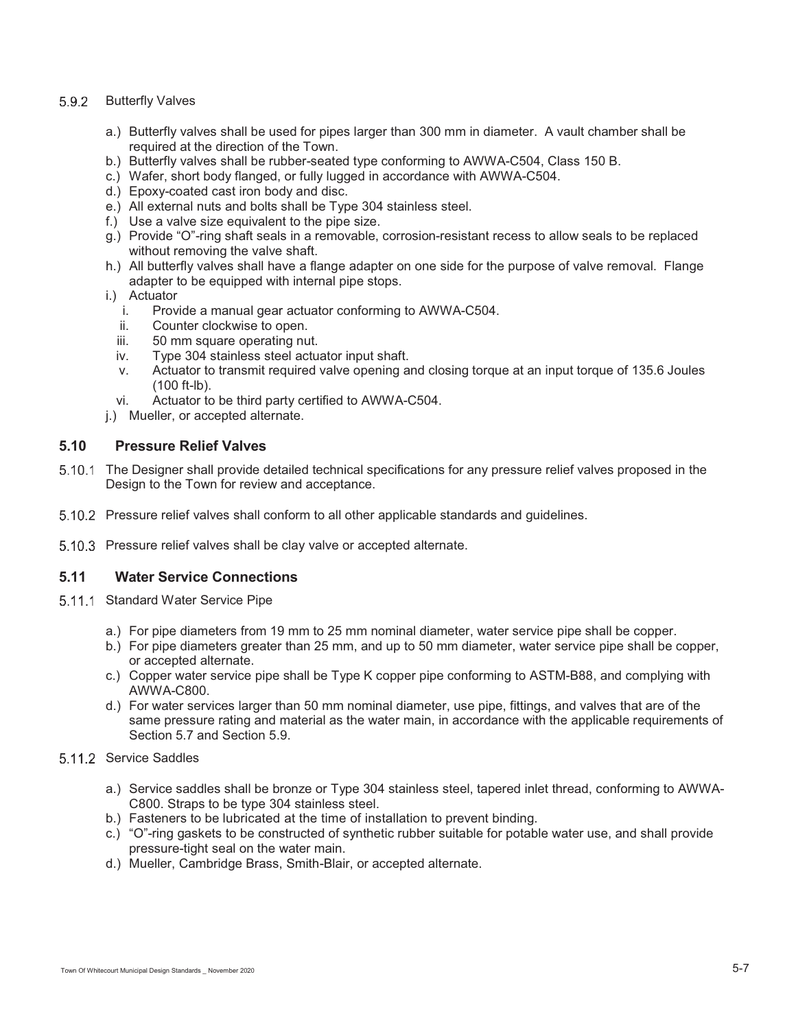### 5.9.2 Butterfly Valves

- a.) Butterfly valves shall be used for pipes larger than 300 mm in diameter. A vault chamber shall be required at the direction of the Town.
- b.) Butterfly valves shall be rubber-seated type conforming to AWWA-C504, Class 150 B.
- c.) Wafer, short body flanged, or fully lugged in accordance with AWWA-C504.
- d.) Epoxy-coated cast iron body and disc.
- e.) All external nuts and bolts shall be Type 304 stainless steel.
- f.) Use a valve size equivalent to the pipe size.
- g.) Provide "O"-ring shaft seals in a removable, corrosion-resistant recess to allow seals to be replaced without removing the valve shaft.
- h.) All butterfly valves shall have a flange adapter on one side for the purpose of valve removal. Flange adapter to be equipped with internal pipe stops.
- i.) Actuator
	- i. Provide a manual gear actuator conforming to AWWA-C504.
	- ii. Counter clockwise to open.
	- iii. 50 mm square operating nut.
	- iv. Type 304 stainless steel actuator input shaft.
	- v. Actuator to transmit required valve opening and closing torque at an input torque of 135.6 Joules (100 ft-lb).
	- vi. Actuator to be third party certified to AWWA-C504.
- j.) Mueller, or accepted alternate.

# **5.10 Pressure Relief Valves**

- 5.10.1 The Designer shall provide detailed technical specifications for any pressure relief valves proposed in the Design to the Town for review and acceptance.
- 5.10.2 Pressure relief valves shall conform to all other applicable standards and guidelines.
- 5.10.3 Pressure relief valves shall be clay valve or accepted alternate.

# **5.11 Water Service Connections**

- 5.11.1 Standard Water Service Pipe
	- a.) For pipe diameters from 19 mm to 25 mm nominal diameter, water service pipe shall be copper.
	- b.) For pipe diameters greater than 25 mm, and up to 50 mm diameter, water service pipe shall be copper, or accepted alternate.
	- c.) Copper water service pipe shall be Type K copper pipe conforming to ASTM-B88, and complying with AWWA-C800.
	- d.) For water services larger than 50 mm nominal diameter, use pipe, fittings, and valves that are of the same pressure rating and material as the water main, in accordance with the applicable requirements of Section 5.7 and Section 5.9.
- 5.11.2 Service Saddles
	- a.) Service saddles shall be bronze or Type 304 stainless steel, tapered inlet thread, conforming to AWWA-C800. Straps to be type 304 stainless steel.
	- b.) Fasteners to be lubricated at the time of installation to prevent binding.
	- c.) "O"-ring gaskets to be constructed of synthetic rubber suitable for potable water use, and shall provide pressure-tight seal on the water main.
	- d.) Mueller, Cambridge Brass, Smith-Blair, or accepted alternate.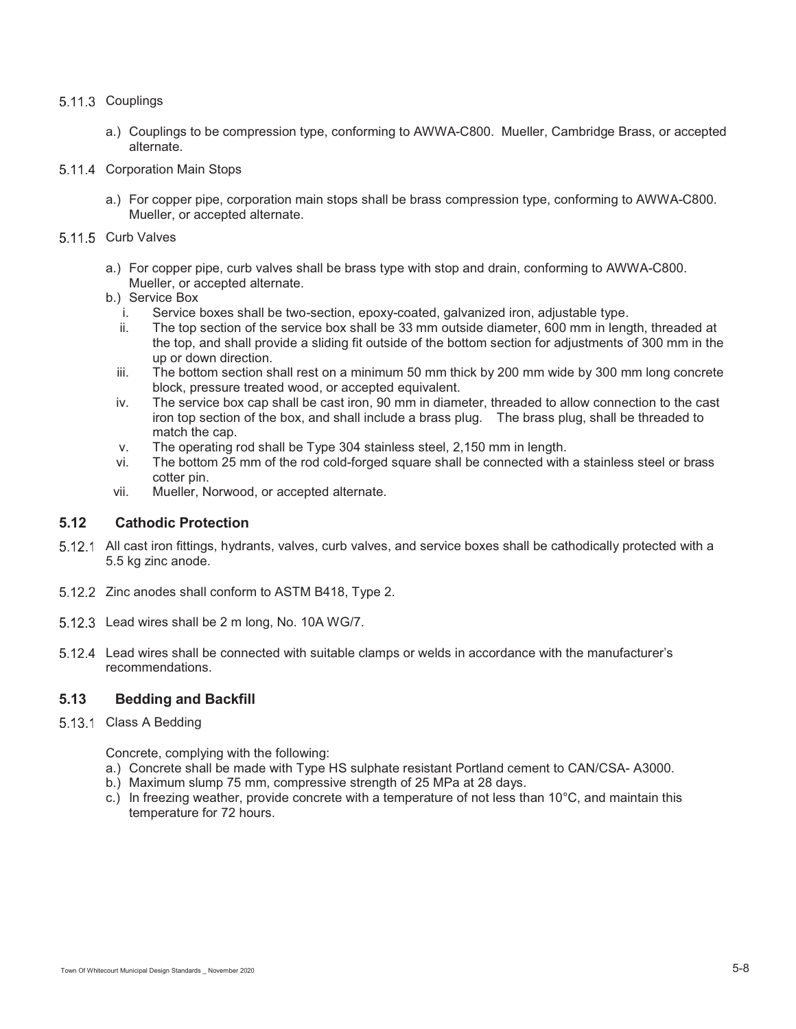### 5.11.3 Couplings

- a.) Couplings to be compression type, conforming to AWWA-C800. Mueller, Cambridge Brass, or accepted alternate.
- 5.11.4 Corporation Main Stops
	- a.) For copper pipe, corporation main stops shall be brass compression type, conforming to AWWA-C800. Mueller, or accepted alternate.
- 5.11.5 Curb Valves
	- a.) For copper pipe, curb valves shall be brass type with stop and drain, conforming to AWWA-C800. Mueller, or accepted alternate.
	- b.) Service Box
		- i. Service boxes shall be two-section, epoxy-coated, galvanized iron, adjustable type.
		- ii. The top section of the service box shall be 33 mm outside diameter, 600 mm in length, threaded at the top, and shall provide a sliding fit outside of the bottom section for adjustments of 300 mm in the up or down direction.
		- iii. The bottom section shall rest on a minimum 50 mm thick by 200 mm wide by 300 mm long concrete block, pressure treated wood, or accepted equivalent.
		- iv. The service box cap shall be cast iron, 90 mm in diameter, threaded to allow connection to the cast iron top section of the box, and shall include a brass plug. The brass plug, shall be threaded to match the cap.
		- v. The operating rod shall be Type 304 stainless steel, 2,150 mm in length.
		- vi. The bottom 25 mm of the rod cold-forged square shall be connected with a stainless steel or brass cotter pin.
	- vii. Mueller, Norwood, or accepted alternate.

# **5.12 Cathodic Protection**

- 5.12.1 All cast iron fittings, hydrants, valves, curb valves, and service boxes shall be cathodically protected with a 5.5 kg zinc anode.
- 5.12.2 Zinc anodes shall conform to ASTM B418, Type 2.
- 5.12.3 Lead wires shall be 2 m long, No. 10A WG/7.
- Lead wires shall be connected with suitable clamps or welds in accordance with the manufacturer's recommendations.

# **5.13 Bedding and Backfill**

5.13.1 Class A Bedding

Concrete, complying with the following:

- a.) Concrete shall be made with Type HS sulphate resistant Portland cement to CAN/CSA- A3000.
- b.) Maximum slump 75 mm, compressive strength of 25 MPa at 28 days.
- c.) In freezing weather, provide concrete with a temperature of not less than 10°C, and maintain this temperature for 72 hours.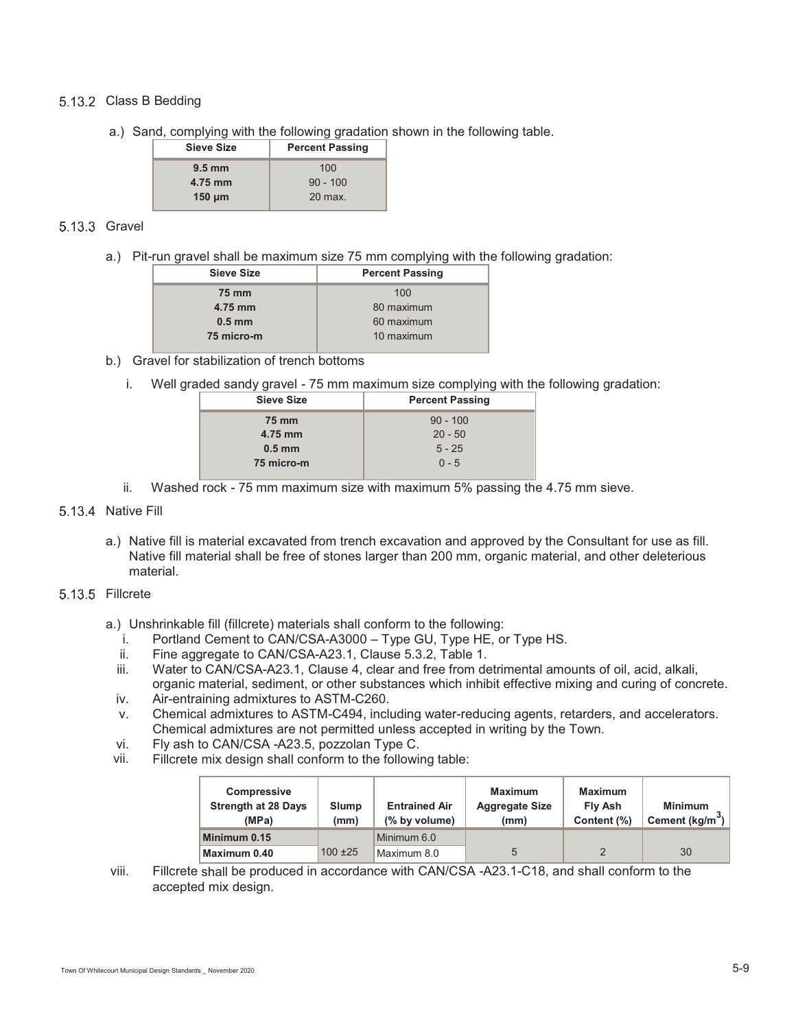### 5.13.2 Class B Bedding

a.) Sand, complying with the following gradation shown in the following table.

| <b>Sieve Size</b> | <b>Percent Passing</b> |  |
|-------------------|------------------------|--|
| $9.5 \text{ mm}$  | 100                    |  |
| 4.75 mm           | $90 - 100$             |  |
| $150 \mu m$       | 20 max.                |  |

### 5.13.3 Gravel

a.) Pit-run gravel shall be maximum size 75 mm complying with the following gradation:

| <b>Sieve Size</b>      | <b>Percent Passing</b> |  |
|------------------------|------------------------|--|
| 75 mm                  | 100                    |  |
| 4.75 mm                | 80 maximum             |  |
| 60 maximum<br>$0.5$ mm |                        |  |
| 75 micro-m             | 10 maximum             |  |
|                        |                        |  |

### b.) Gravel for stabilization of trench bottoms

i. Well graded sandy gravel - 75 mm maximum size complying with the following gradation:

| <b>Sieve Size</b> | <b>Percent Passing</b> |  |
|-------------------|------------------------|--|
| <b>75 mm</b>      | $90 - 100$             |  |
| 4.75 mm           | $20 - 50$              |  |
| $0.5$ mm          | $5 - 25$               |  |
| 75 micro-m        | $0 - 5$                |  |
|                   |                        |  |

ii. Washed rock - 75 mm maximum size with maximum 5% passing the 4.75 mm sieve.

#### 5.13.4 Native Fill

a.) Native fill is material excavated from trench excavation and approved by the Consultant for use as fill. Native fill material shall be free of stones larger than 200 mm, organic material, and other deleterious material.

#### 5.13.5 Fillcrete

- a.) Unshrinkable fill (fillcrete) materials shall conform to the following:
	- i. Portland Cement to CAN/CSA-A3000 Type GU, Type HE, or Type HS.
	- ii. Fine aggregate to CAN/CSA-A23.1, Clause 5.3.2, Table 1.
	- iii. Water to CAN/CSA-A23.1, Clause 4, clear and free from detrimental amounts of oil, acid, alkali, organic material, sediment, or other substances which inhibit effective mixing and curing of concrete.
	- iv. Air-entraining admixtures to ASTM-C260.
	- v. Chemical admixtures to ASTM-C494, including water-reducing agents, retarders, and accelerators. Chemical admixtures are not permitted unless accepted in writing by the Town.
	- vi. Fly ash to CAN/CSA -A23.5, pozzolan Type C.
- vii. Fillcrete mix design shall conform to the following table:

| <b>Compressive</b><br><b>Strength at 28 Days</b><br>(MPa) | Slump<br>(mm) | <b>Entrained Air</b><br>(% by volume) | <b>Maximum</b><br><b>Aggregate Size</b><br>(mm) | <b>Maximum</b><br>Fly Ash<br>Content (%) | <b>Minimum</b><br>Cement (kg/m |
|-----------------------------------------------------------|---------------|---------------------------------------|-------------------------------------------------|------------------------------------------|--------------------------------|
| Minimum 0.15                                              |               | Minimum 6.0                           |                                                 |                                          |                                |
| Maximum 0.40                                              | $100 + 25$    | Maximum 8.0                           |                                                 |                                          | 30                             |

viii. Fillcrete shall be produced in accordance with CAN/CSA -A23.1-C18, and shall conform to the accepted mix design.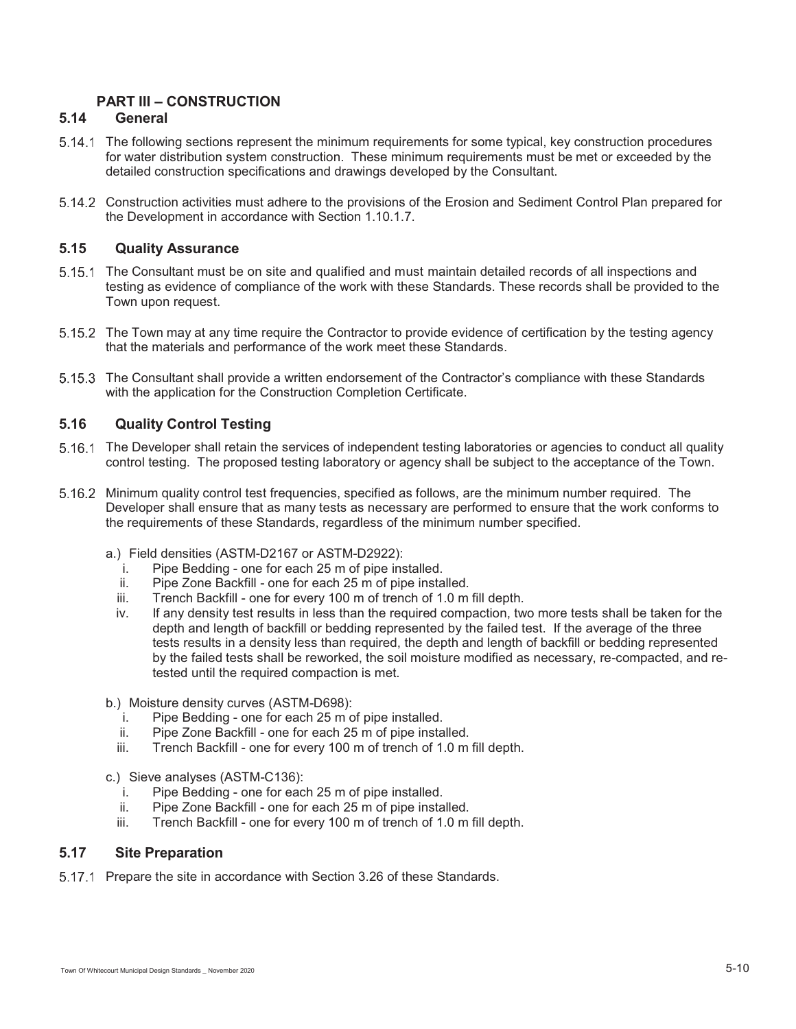# **PART III – CONSTRUCTION**

# **5.14 General**

- The following sections represent the minimum requirements for some typical, key construction procedures for water distribution system construction. These minimum requirements must be met or exceeded by the detailed construction specifications and drawings developed by the Consultant.
- Construction activities must adhere to the provisions of the Erosion and Sediment Control Plan prepared for the Development in accordance with Section 1.10.1.7.

# **5.15 Quality Assurance**

- 5.15.1 The Consultant must be on site and qualified and must maintain detailed records of all inspections and testing as evidence of compliance of the work with these Standards. These records shall be provided to the Town upon request.
- 5.15.2 The Town may at any time require the Contractor to provide evidence of certification by the testing agency that the materials and performance of the work meet these Standards.
- The Consultant shall provide a written endorsement of the Contractor's compliance with these Standards with the application for the Construction Completion Certificate.

# **5.16 Quality Control Testing**

- The Developer shall retain the services of independent testing laboratories or agencies to conduct all quality control testing. The proposed testing laboratory or agency shall be subject to the acceptance of the Town.
- 5.16.2 Minimum quality control test frequencies, specified as follows, are the minimum number required. The Developer shall ensure that as many tests as necessary are performed to ensure that the work conforms to the requirements of these Standards, regardless of the minimum number specified.
	- a.) Field densities (ASTM-D2167 or ASTM-D2922):
		- i. Pipe Bedding one for each 25 m of pipe installed.
		- ii. Pipe Zone Backfill one for each 25 m of pipe installed.
		- iii. Trench Backfill one for every 100 m of trench of 1.0 m fill depth.
		- iv. If any density test results in less than the required compaction, two more tests shall be taken for the depth and length of backfill or bedding represented by the failed test. If the average of the three tests results in a density less than required, the depth and length of backfill or bedding represented by the failed tests shall be reworked, the soil moisture modified as necessary, re-compacted, and retested until the required compaction is met.
	- b.) Moisture density curves (ASTM-D698):
		- i. Pipe Bedding one for each 25 m of pipe installed.
		- ii. Pipe Zone Backfill one for each 25 m of pipe installed.
		- iii. Trench Backfill one for every 100 m of trench of 1.0 m fill depth.
	- c.) Sieve analyses (ASTM-C136):
		- i. Pipe Bedding one for each 25 m of pipe installed.
		- ii. Pipe Zone Backfill one for each 25 m of pipe installed.
		- iii. Trench Backfill one for every 100 m of trench of 1.0 m fill depth.

### **5.17 Site Preparation**

5.17.1 Prepare the site in accordance with Section 3.26 of these Standards.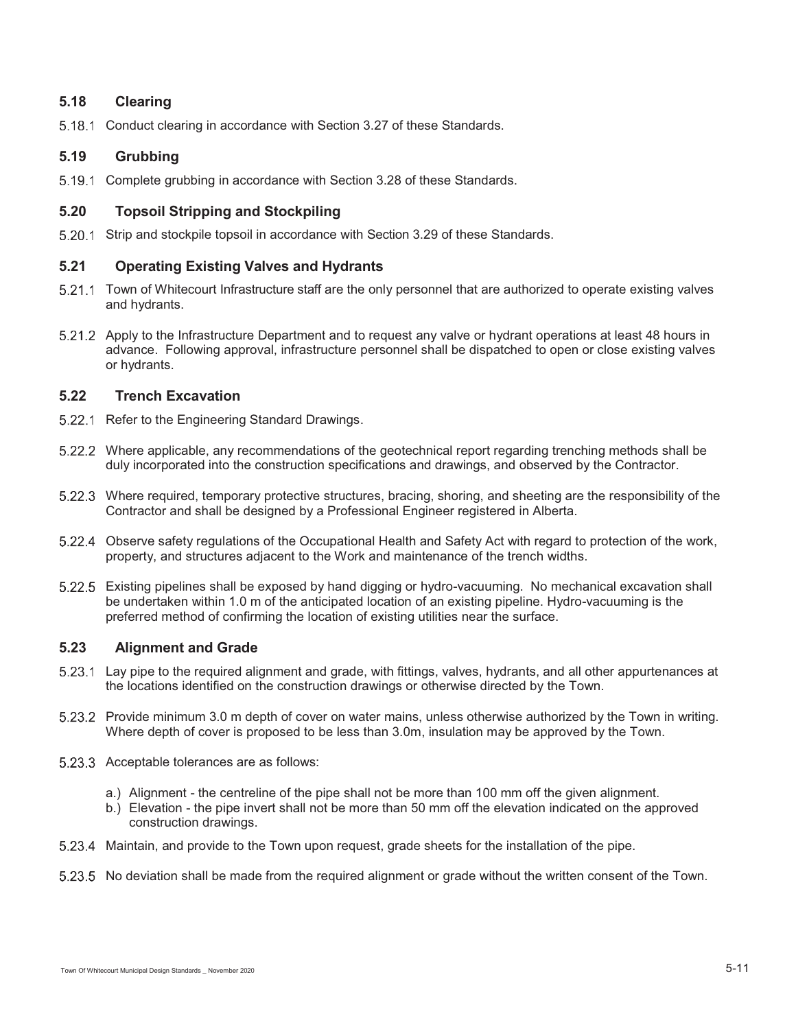# **5.18 Clearing**

5.18.1 Conduct clearing in accordance with Section 3.27 of these Standards.

# **5.19 Grubbing**

Complete grubbing in accordance with Section 3.28 of these Standards.

# **5.20 Topsoil Stripping and Stockpiling**

5.20.1 Strip and stockpile topsoil in accordance with Section 3.29 of these Standards.

# **5.21 Operating Existing Valves and Hydrants**

- 5.21.1 Town of Whitecourt Infrastructure staff are the only personnel that are authorized to operate existing valves and hydrants.
- 5.21.2 Apply to the Infrastructure Department and to request any valve or hydrant operations at least 48 hours in advance. Following approval, infrastructure personnel shall be dispatched to open or close existing valves or hydrants.

# **5.22 Trench Excavation**

- 5.22.1 Refer to the Engineering Standard Drawings.
- Where applicable, any recommendations of the geotechnical report regarding trenching methods shall be duly incorporated into the construction specifications and drawings, and observed by the Contractor.
- Where required, temporary protective structures, bracing, shoring, and sheeting are the responsibility of the Contractor and shall be designed by a Professional Engineer registered in Alberta.
- Observe safety regulations of the Occupational Health and Safety Act with regard to protection of the work, property, and structures adjacent to the Work and maintenance of the trench widths.
- Existing pipelines shall be exposed by hand digging or hydro-vacuuming. No mechanical excavation shall be undertaken within 1.0 m of the anticipated location of an existing pipeline. Hydro-vacuuming is the preferred method of confirming the location of existing utilities near the surface.

# **5.23 Alignment and Grade**

- Lay pipe to the required alignment and grade, with fittings, valves, hydrants, and all other appurtenances at the locations identified on the construction drawings or otherwise directed by the Town.
- Provide minimum 3.0 m depth of cover on water mains, unless otherwise authorized by the Town in writing. Where depth of cover is proposed to be less than 3.0m, insulation may be approved by the Town.
- 5.23.3 Acceptable tolerances are as follows:
	- a.) Alignment the centreline of the pipe shall not be more than 100 mm off the given alignment.
	- b.) Elevation the pipe invert shall not be more than 50 mm off the elevation indicated on the approved construction drawings.
- Maintain, and provide to the Town upon request, grade sheets for the installation of the pipe.
- 5.23.5 No deviation shall be made from the required alignment or grade without the written consent of the Town.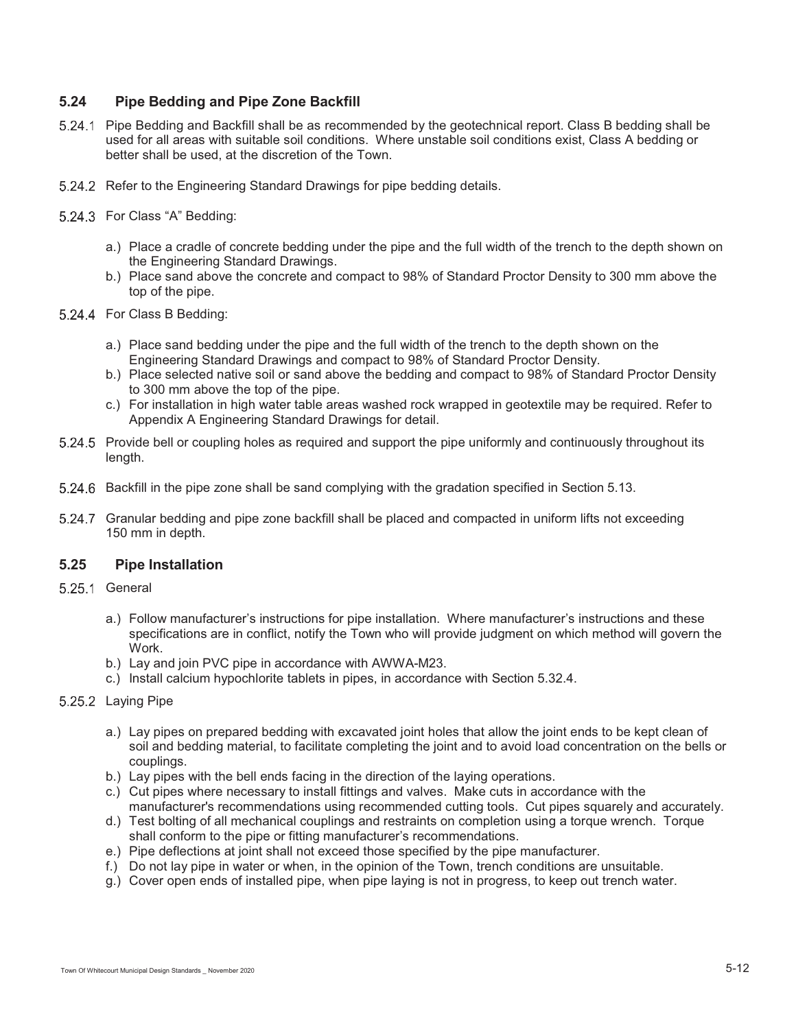# **5.24 Pipe Bedding and Pipe Zone Backfill**

- Pipe Bedding and Backfill shall be as recommended by the geotechnical report. Class B bedding shall be used for all areas with suitable soil conditions. Where unstable soil conditions exist, Class A bedding or better shall be used, at the discretion of the Town.
- 5.24.2 Refer to the Engineering Standard Drawings for pipe bedding details.
- 5.24.3 For Class "A" Bedding:
	- a.) Place a cradle of concrete bedding under the pipe and the full width of the trench to the depth shown on the Engineering Standard Drawings.
	- b.) Place sand above the concrete and compact to 98% of Standard Proctor Density to 300 mm above the top of the pipe.
- 5.24.4 For Class B Bedding:
	- a.) Place sand bedding under the pipe and the full width of the trench to the depth shown on the Engineering Standard Drawings and compact to 98% of Standard Proctor Density.
	- b.) Place selected native soil or sand above the bedding and compact to 98% of Standard Proctor Density to 300 mm above the top of the pipe.
	- c.) For installation in high water table areas washed rock wrapped in geotextile may be required. Refer to Appendix A Engineering Standard Drawings for detail.
- 5.24.5 Provide bell or coupling holes as required and support the pipe uniformly and continuously throughout its length.
- Backfill in the pipe zone shall be sand complying with the gradation specified in Section 5.13.
- 5.24.7 Granular bedding and pipe zone backfill shall be placed and compacted in uniform lifts not exceeding 150 mm in depth.

# **5.25 Pipe Installation**

- 5.25.1 General
	- a.) Follow manufacturer's instructions for pipe installation. Where manufacturer's instructions and these specifications are in conflict, notify the Town who will provide judgment on which method will govern the Work.
	- b.) Lay and join PVC pipe in accordance with AWWA-M23.
	- c.) Install calcium hypochlorite tablets in pipes, in accordance with Section 5.32.4.
- 5.25.2 Laying Pipe
	- a.) Lay pipes on prepared bedding with excavated joint holes that allow the joint ends to be kept clean of soil and bedding material, to facilitate completing the joint and to avoid load concentration on the bells or couplings.
	- b.) Lay pipes with the bell ends facing in the direction of the laying operations.
	- c.) Cut pipes where necessary to install fittings and valves. Make cuts in accordance with the manufacturer's recommendations using recommended cutting tools. Cut pipes squarely and accurately.
	- d.) Test bolting of all mechanical couplings and restraints on completion using a torque wrench. Torque shall conform to the pipe or fitting manufacturer's recommendations.
	- e.) Pipe deflections at joint shall not exceed those specified by the pipe manufacturer.
	- f.) Do not lay pipe in water or when, in the opinion of the Town, trench conditions are unsuitable.
	- g.) Cover open ends of installed pipe, when pipe laying is not in progress, to keep out trench water.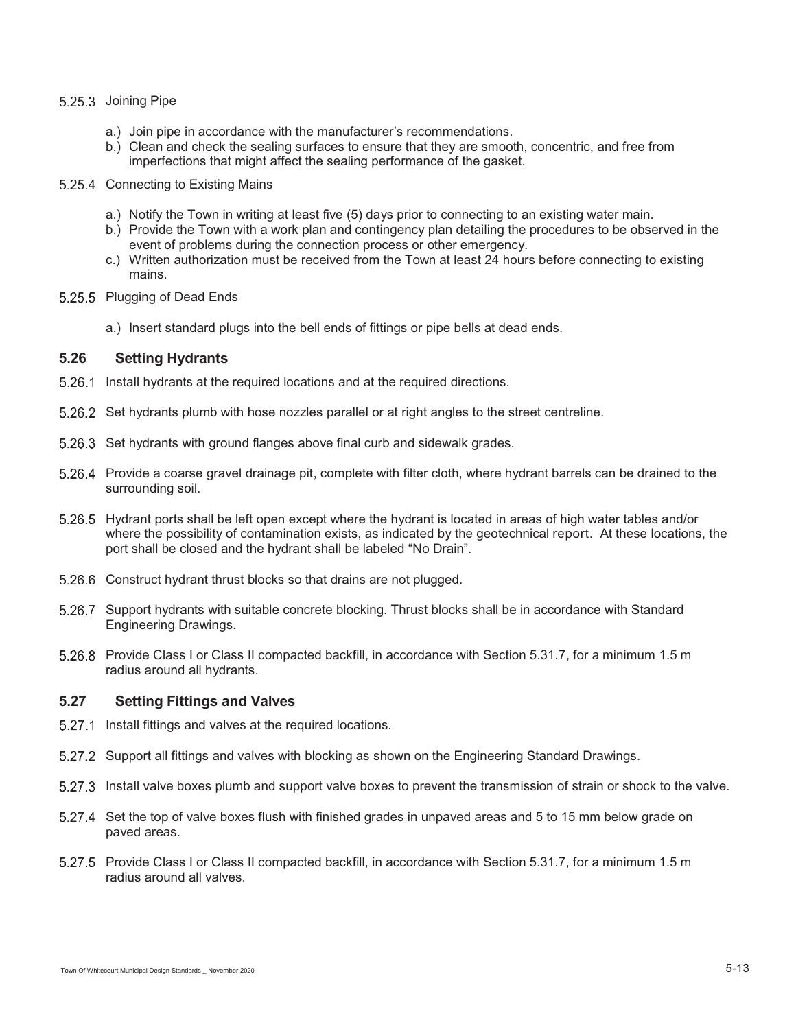#### 5.25.3 Joining Pipe

- a.) Join pipe in accordance with the manufacturer's recommendations.
- b.) Clean and check the sealing surfaces to ensure that they are smooth, concentric, and free from imperfections that might affect the sealing performance of the gasket.
- 5.25.4 Connecting to Existing Mains
	- a.) Notify the Town in writing at least five (5) days prior to connecting to an existing water main.
	- b.) Provide the Town with a work plan and contingency plan detailing the procedures to be observed in the event of problems during the connection process or other emergency.
	- c.) Written authorization must be received from the Town at least 24 hours before connecting to existing mains.
- 5.25.5 Plugging of Dead Ends
	- a.) Insert standard plugs into the bell ends of fittings or pipe bells at dead ends.

# **5.26 Setting Hydrants**

- 5.26.1 Install hydrants at the required locations and at the required directions.
- 5.26.2 Set hydrants plumb with hose nozzles parallel or at right angles to the street centreline.
- 5.26.3 Set hydrants with ground flanges above final curb and sidewalk grades.
- 5.26.4 Provide a coarse gravel drainage pit, complete with filter cloth, where hydrant barrels can be drained to the surrounding soil.
- 5.26.5 Hydrant ports shall be left open except where the hydrant is located in areas of high water tables and/or where the possibility of contamination exists, as indicated by the geotechnical report. At these locations, the port shall be closed and the hydrant shall be labeled "No Drain".
- 5.26.6 Construct hydrant thrust blocks so that drains are not plugged.
- 5.26.7 Support hydrants with suitable concrete blocking. Thrust blocks shall be in accordance with Standard Engineering Drawings.
- 5.26.8 Provide Class I or Class II compacted backfill, in accordance with Section 5.31.7, for a minimum 1.5 m radius around all hydrants.

# **5.27 Setting Fittings and Valves**

- 5.27.1 Install fittings and valves at the required locations.
- 5.27.2 Support all fittings and valves with blocking as shown on the Engineering Standard Drawings.
- Install valve boxes plumb and support valve boxes to prevent the transmission of strain or shock to the valve.
- 5.27.4 Set the top of valve boxes flush with finished grades in unpaved areas and 5 to 15 mm below grade on paved areas.
- 5.27.5 Provide Class I or Class II compacted backfill, in accordance with Section 5.31.7, for a minimum 1.5 m radius around all valves.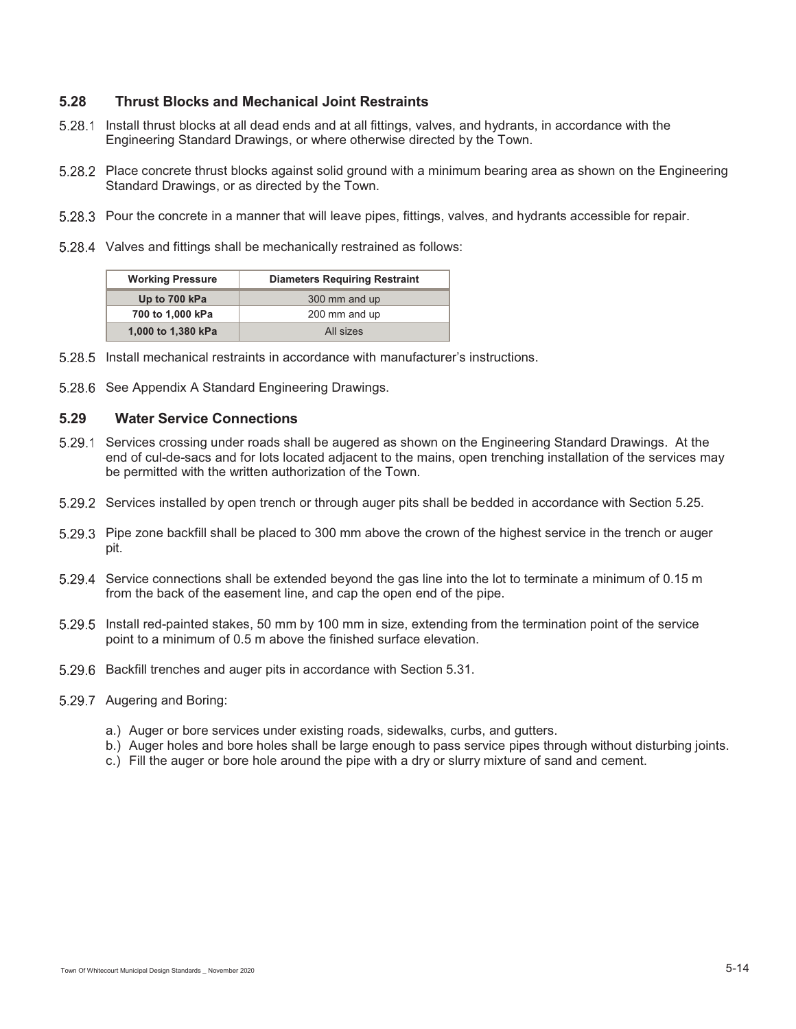# **5.28 Thrust Blocks and Mechanical Joint Restraints**

- Install thrust blocks at all dead ends and at all fittings, valves, and hydrants, in accordance with the Engineering Standard Drawings, or where otherwise directed by the Town.
- Place concrete thrust blocks against solid ground with a minimum bearing area as shown on the Engineering Standard Drawings, or as directed by the Town.
- 5.28.3 Pour the concrete in a manner that will leave pipes, fittings, valves, and hydrants accessible for repair.
- 5.28.4 Valves and fittings shall be mechanically restrained as follows:

| <b>Working Pressure</b> | <b>Diameters Requiring Restraint</b> |  |
|-------------------------|--------------------------------------|--|
| Up to 700 kPa           | 300 mm and up                        |  |
| 700 to 1,000 kPa        | 200 mm and up                        |  |
| 1,000 to 1,380 kPa      | All sizes                            |  |

- Install mechanical restraints in accordance with manufacturer's instructions.
- 5.28.6 See Appendix A Standard Engineering Drawings.

#### **5.29 Water Service Connections**

- 5.29.1 Services crossing under roads shall be augered as shown on the Engineering Standard Drawings. At the end of cul-de-sacs and for lots located adjacent to the mains, open trenching installation of the services may be permitted with the written authorization of the Town.
- 5.29.2 Services installed by open trench or through auger pits shall be bedded in accordance with Section 5.25.
- 5.29.3 Pipe zone backfill shall be placed to 300 mm above the crown of the highest service in the trench or auger pit.
- 5.29.4 Service connections shall be extended beyond the gas line into the lot to terminate a minimum of 0.15 m from the back of the easement line, and cap the open end of the pipe.
- Install red-painted stakes, 50 mm by 100 mm in size, extending from the termination point of the service point to a minimum of 0.5 m above the finished surface elevation.
- Backfill trenches and auger pits in accordance with Section 5.31.
- 5.29.7 Augering and Boring:
	- a.) Auger or bore services under existing roads, sidewalks, curbs, and gutters.
	- b.) Auger holes and bore holes shall be large enough to pass service pipes through without disturbing joints.
	- c.) Fill the auger or bore hole around the pipe with a dry or slurry mixture of sand and cement.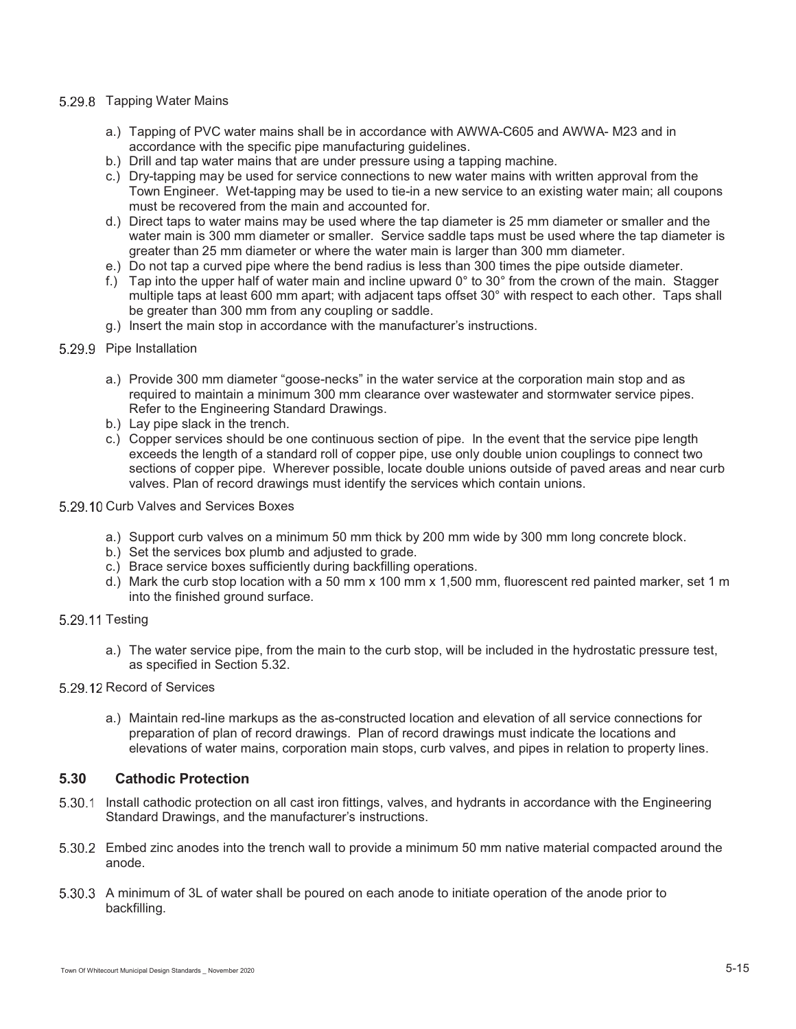### 5.29.8 Tapping Water Mains

- a.) Tapping of PVC water mains shall be in accordance with AWWA-C605 and AWWA- M23 and in accordance with the specific pipe manufacturing guidelines.
- b.) Drill and tap water mains that are under pressure using a tapping machine.
- c.) Dry-tapping may be used for service connections to new water mains with written approval from the Town Engineer. Wet-tapping may be used to tie-in a new service to an existing water main; all coupons must be recovered from the main and accounted for.
- d.) Direct taps to water mains may be used where the tap diameter is 25 mm diameter or smaller and the water main is 300 mm diameter or smaller. Service saddle taps must be used where the tap diameter is greater than 25 mm diameter or where the water main is larger than 300 mm diameter.
- e.) Do not tap a curved pipe where the bend radius is less than 300 times the pipe outside diameter.
- f.) Tap into the upper half of water main and incline upward 0° to 30° from the crown of the main. Stagger multiple taps at least 600 mm apart; with adjacent taps offset 30° with respect to each other. Taps shall be greater than 300 mm from any coupling or saddle.
- g.) Insert the main stop in accordance with the manufacturer's instructions.

### 5.29.9 Pipe Installation

- a.) Provide 300 mm diameter "goose-necks" in the water service at the corporation main stop and as required to maintain a minimum 300 mm clearance over wastewater and stormwater service pipes. Refer to the Engineering Standard Drawings.
- b.) Lay pipe slack in the trench.
- c.) Copper services should be one continuous section of pipe. In the event that the service pipe length exceeds the length of a standard roll of copper pipe, use only double union couplings to connect two sections of copper pipe. Wherever possible, locate double unions outside of paved areas and near curb valves. Plan of record drawings must identify the services which contain unions.
- 5.29.10 Curb Valves and Services Boxes
	- a.) Support curb valves on a minimum 50 mm thick by 200 mm wide by 300 mm long concrete block.
	- b.) Set the services box plumb and adjusted to grade.
	- c.) Brace service boxes sufficiently during backfilling operations.
	- d.) Mark the curb stop location with a 50 mm x 100 mm x 1,500 mm, fluorescent red painted marker, set 1 m into the finished ground surface.
- 5.29.11 Testing
	- a.) The water service pipe, from the main to the curb stop, will be included in the hydrostatic pressure test, as specified in Section 5.32.
- 5.29.12 Record of Services
	- a.) Maintain red-line markups as the as-constructed location and elevation of all service connections for preparation of plan of record drawings. Plan of record drawings must indicate the locations and elevations of water mains, corporation main stops, curb valves, and pipes in relation to property lines.

# **5.30 Cathodic Protection**

- Install cathodic protection on all cast iron fittings, valves, and hydrants in accordance with the Engineering Standard Drawings, and the manufacturer's instructions.
- Embed zinc anodes into the trench wall to provide a minimum 50 mm native material compacted around the anode.
- 5.30.3 A minimum of 3L of water shall be poured on each anode to initiate operation of the anode prior to backfilling.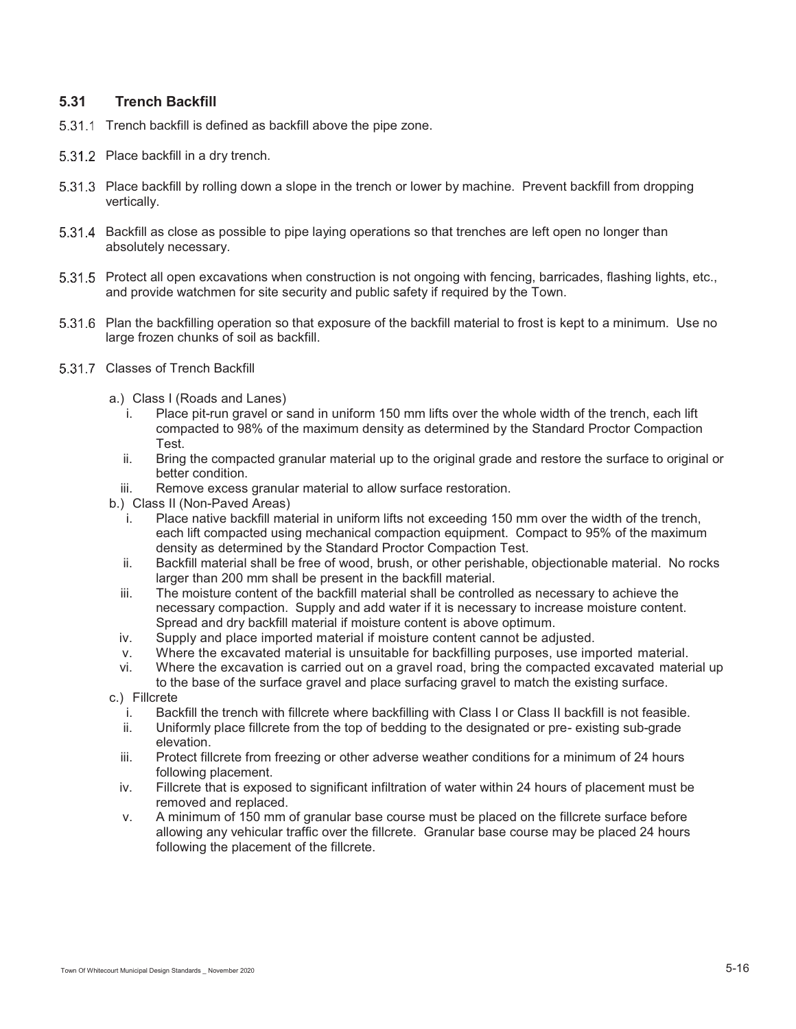# **5.31 Trench Backfill**

- 5.31.1 Trench backfill is defined as backfill above the pipe zone.
- 5.31.2 Place backfill in a dry trench.
- 5.31.3 Place backfill by rolling down a slope in the trench or lower by machine. Prevent backfill from dropping vertically.
- 5.31.4 Backfill as close as possible to pipe laying operations so that trenches are left open no longer than absolutely necessary.
- 5.31.5 Protect all open excavations when construction is not ongoing with fencing, barricades, flashing lights, etc., and provide watchmen for site security and public safety if required by the Town.
- Plan the backfilling operation so that exposure of the backfill material to frost is kept to a minimum. Use no large frozen chunks of soil as backfill.
- 5.31.7 Classes of Trench Backfill
	- a.) Class I (Roads and Lanes)
		- i. Place pit-run gravel or sand in uniform 150 mm lifts over the whole width of the trench, each lift compacted to 98% of the maximum density as determined by the Standard Proctor Compaction Test.
		- ii. Bring the compacted granular material up to the original grade and restore the surface to original or better condition.
		- iii. Remove excess granular material to allow surface restoration.
	- b.) Class II (Non-Paved Areas)
		- i. Place native backfill material in uniform lifts not exceeding 150 mm over the width of the trench, each lift compacted using mechanical compaction equipment. Compact to 95% of the maximum density as determined by the Standard Proctor Compaction Test.
		- ii. Backfill material shall be free of wood, brush, or other perishable, objectionable material. No rocks larger than 200 mm shall be present in the backfill material.
		- iii. The moisture content of the backfill material shall be controlled as necessary to achieve the necessary compaction. Supply and add water if it is necessary to increase moisture content. Spread and dry backfill material if moisture content is above optimum.
		- iv. Supply and place imported material if moisture content cannot be adjusted.
		- v. Where the excavated material is unsuitable for backfilling purposes, use imported material.
		- vi. Where the excavation is carried out on a gravel road, bring the compacted excavated material up to the base of the surface gravel and place surfacing gravel to match the existing surface.
	- c.) Fillcrete
		- i. Backfill the trench with fillcrete where backfilling with Class I or Class II backfill is not feasible.
		- ii. Uniformly place fillcrete from the top of bedding to the designated or pre- existing sub-grade elevation.
		- iii. Protect fillcrete from freezing or other adverse weather conditions for a minimum of 24 hours following placement.
		- iv. Fillcrete that is exposed to significant infiltration of water within 24 hours of placement must be removed and replaced.
		- v. A minimum of 150 mm of granular base course must be placed on the fillcrete surface before allowing any vehicular traffic over the fillcrete. Granular base course may be placed 24 hours following the placement of the fillcrete.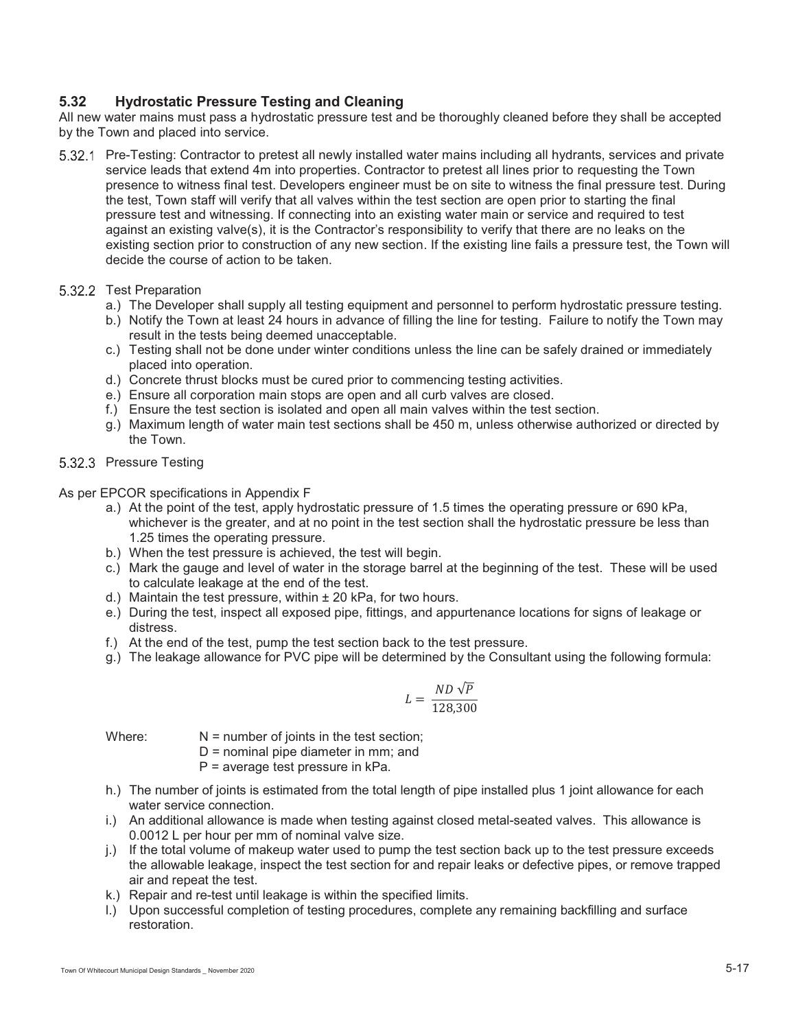# **5.32 Hydrostatic Pressure Testing and Cleaning**

All new water mains must pass a hydrostatic pressure test and be thoroughly cleaned before they shall be accepted by the Town and placed into service.

 Pre-Testing: Contractor to pretest all newly installed water mains including all hydrants, services and private service leads that extend 4m into properties. Contractor to pretest all lines prior to requesting the Town presence to witness final test. Developers engineer must be on site to witness the final pressure test. During the test, Town staff will verify that all valves within the test section are open prior to starting the final pressure test and witnessing. If connecting into an existing water main or service and required to test against an existing valve(s), it is the Contractor's responsibility to verify that there are no leaks on the existing section prior to construction of any new section. If the existing line fails a pressure test, the Town will decide the course of action to be taken.

#### 5.32.2 Test Preparation

- a.) The Developer shall supply all testing equipment and personnel to perform hydrostatic pressure testing.
- b.) Notify the Town at least 24 hours in advance of filling the line for testing. Failure to notify the Town may result in the tests being deemed unacceptable.
- c.) Testing shall not be done under winter conditions unless the line can be safely drained or immediately placed into operation.
- d.) Concrete thrust blocks must be cured prior to commencing testing activities.
- e.) Ensure all corporation main stops are open and all curb valves are closed.
- f.) Ensure the test section is isolated and open all main valves within the test section.
- g.) Maximum length of water main test sections shall be 450 m, unless otherwise authorized or directed by the Town.

### 5.32.3 Pressure Testing

As per EPCOR specifications in Appendix F

- a.) At the point of the test, apply hydrostatic pressure of 1.5 times the operating pressure or 690 kPa, whichever is the greater, and at no point in the test section shall the hydrostatic pressure be less than 1.25 times the operating pressure.
- b.) When the test pressure is achieved, the test will begin.
- c.) Mark the gauge and level of water in the storage barrel at the beginning of the test. These will be used to calculate leakage at the end of the test.
- d.) Maintain the test pressure, within  $\pm$  20 kPa, for two hours.
- e.) During the test, inspect all exposed pipe, fittings, and appurtenance locations for signs of leakage or distress.
- f.) At the end of the test, pump the test section back to the test pressure.
- g.) The leakage allowance for PVC pipe will be determined by the Consultant using the following formula:

$$
L = \frac{ND\sqrt{P}}{128,300}
$$

Where:  $N =$  number of joints in the test section;

- D = nominal pipe diameter in mm; and
- P = average test pressure in kPa.
- h.) The number of joints is estimated from the total length of pipe installed plus 1 joint allowance for each water service connection.
- i.) An additional allowance is made when testing against closed metal-seated valves. This allowance is 0.0012 L per hour per mm of nominal valve size.
- j.) If the total volume of makeup water used to pump the test section back up to the test pressure exceeds the allowable leakage, inspect the test section for and repair leaks or defective pipes, or remove trapped air and repeat the test.
- k.) Repair and re-test until leakage is within the specified limits.
- l.) Upon successful completion of testing procedures, complete any remaining backfilling and surface restoration.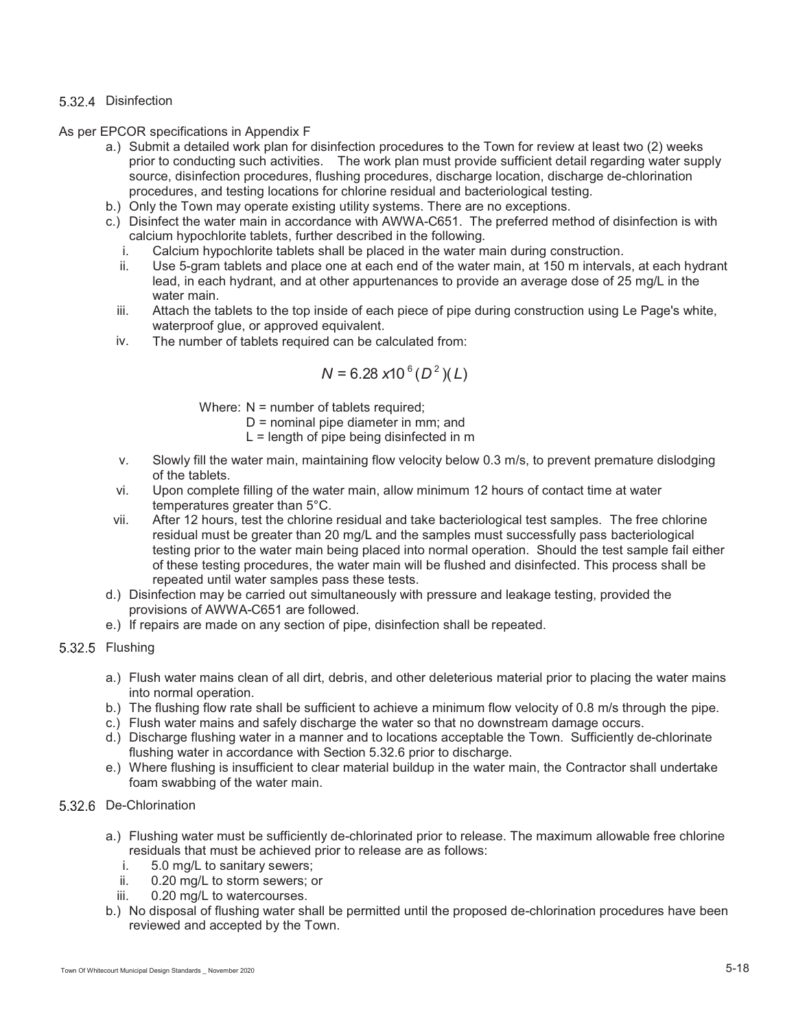### 5.32.4 Disinfection

As per EPCOR specifications in Appendix F

- a.) Submit a detailed work plan for disinfection procedures to the Town for review at least two (2) weeks prior to conducting such activities. The work plan must provide sufficient detail regarding water supply source, disinfection procedures, flushing procedures, discharge location, discharge de-chlorination procedures, and testing locations for chlorine residual and bacteriological testing.
- b.) Only the Town may operate existing utility systems. There are no exceptions.
- c.) Disinfect the water main in accordance with AWWA-C651. The preferred method of disinfection is with calcium hypochlorite tablets, further described in the following.
	- i. Calcium hypochlorite tablets shall be placed in the water main during construction.
	- ii. Use 5-gram tablets and place one at each end of the water main, at 150 m intervals, at each hydrant lead, in each hydrant, and at other appurtenances to provide an average dose of 25 mg/L in the water main.
	- iii. Attach the tablets to the top inside of each piece of pipe during construction using Le Page's white, waterproof glue, or approved equivalent.
- iv. The number of tablets required can be calculated from:

$$
N = 6.28 \times 10^6 (D^2)(L)
$$

Where: N = number of tablets required;

- D = nominal pipe diameter in mm; and
- $L =$  length of pipe being disinfected in m
- v. Slowly fill the water main, maintaining flow velocity below 0.3 m/s, to prevent premature dislodging of the tablets.
- vi. Upon complete filling of the water main, allow minimum 12 hours of contact time at water temperatures greater than 5°C.
- vii. After 12 hours, test the chlorine residual and take bacteriological test samples. The free chlorine residual must be greater than 20 mg/L and the samples must successfully pass bacteriological testing prior to the water main being placed into normal operation. Should the test sample fail either of these testing procedures, the water main will be flushed and disinfected. This process shall be repeated until water samples pass these tests.
- d.) Disinfection may be carried out simultaneously with pressure and leakage testing, provided the provisions of AWWA-C651 are followed.
- e.) If repairs are made on any section of pipe, disinfection shall be repeated.
- 5.32.5 Flushing
	- a.) Flush water mains clean of all dirt, debris, and other deleterious material prior to placing the water mains into normal operation.
	- b.) The flushing flow rate shall be sufficient to achieve a minimum flow velocity of 0.8 m/s through the pipe.
	- c.) Flush water mains and safely discharge the water so that no downstream damage occurs.
	- d.) Discharge flushing water in a manner and to locations acceptable the Town. Sufficiently de-chlorinate flushing water in accordance with Section 5.32.6 prior to discharge.
	- e.) Where flushing is insufficient to clear material buildup in the water main, the Contractor shall undertake foam swabbing of the water main.

# 5.32.6 De-Chlorination

- a.) Flushing water must be sufficiently de-chlorinated prior to release. The maximum allowable free chlorine residuals that must be achieved prior to release are as follows:
	- i. 5.0 mg/L to sanitary sewers;
	- ii. 0.20 mg/L to storm sewers; or
	- iii. 0.20 mg/L to watercourses.
- b.) No disposal of flushing water shall be permitted until the proposed de-chlorination procedures have been reviewed and accepted by the Town.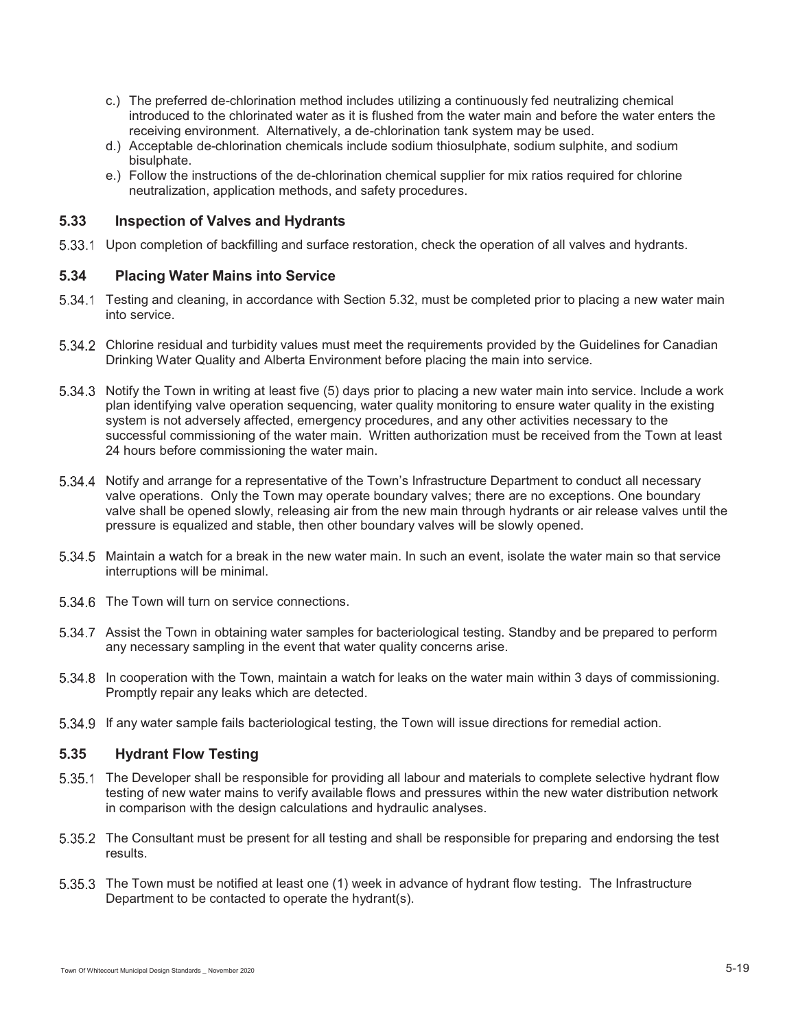- c.) The preferred de-chlorination method includes utilizing a continuously fed neutralizing chemical introduced to the chlorinated water as it is flushed from the water main and before the water enters the receiving environment. Alternatively, a de-chlorination tank system may be used.
- d.) Acceptable de-chlorination chemicals include sodium thiosulphate, sodium sulphite, and sodium bisulphate.
- e.) Follow the instructions of the de-chlorination chemical supplier for mix ratios required for chlorine neutralization, application methods, and safety procedures.

# **5.33 Inspection of Valves and Hydrants**

5.33.1 Upon completion of backfilling and surface restoration, check the operation of all valves and hydrants.

# **5.34 Placing Water Mains into Service**

- 5.34.1 Testing and cleaning, in accordance with Section 5.32, must be completed prior to placing a new water main into service.
- Chlorine residual and turbidity values must meet the requirements provided by the Guidelines for Canadian Drinking Water Quality and Alberta Environment before placing the main into service.
- 5.34.3 Notify the Town in writing at least five (5) days prior to placing a new water main into service. Include a work plan identifying valve operation sequencing, water quality monitoring to ensure water quality in the existing system is not adversely affected, emergency procedures, and any other activities necessary to the successful commissioning of the water main. Written authorization must be received from the Town at least 24 hours before commissioning the water main.
- 5.34.4 Notify and arrange for a representative of the Town's Infrastructure Department to conduct all necessary valve operations. Only the Town may operate boundary valves; there are no exceptions. One boundary valve shall be opened slowly, releasing air from the new main through hydrants or air release valves until the pressure is equalized and stable, then other boundary valves will be slowly opened.
- 5.34.5 Maintain a watch for a break in the new water main. In such an event, isolate the water main so that service interruptions will be minimal.
- 5.34.6 The Town will turn on service connections.
- 5.34.7 Assist the Town in obtaining water samples for bacteriological testing. Standby and be prepared to perform any necessary sampling in the event that water quality concerns arise.
- In cooperation with the Town, maintain a watch for leaks on the water main within 3 days of commissioning. Promptly repair any leaks which are detected.
- If any water sample fails bacteriological testing, the Town will issue directions for remedial action.

# **5.35 Hydrant Flow Testing**

- 5.35.1 The Developer shall be responsible for providing all labour and materials to complete selective hydrant flow testing of new water mains to verify available flows and pressures within the new water distribution network in comparison with the design calculations and hydraulic analyses.
- 5.35.2 The Consultant must be present for all testing and shall be responsible for preparing and endorsing the test results.
- 5.35.3 The Town must be notified at least one (1) week in advance of hydrant flow testing. The Infrastructure Department to be contacted to operate the hydrant(s).